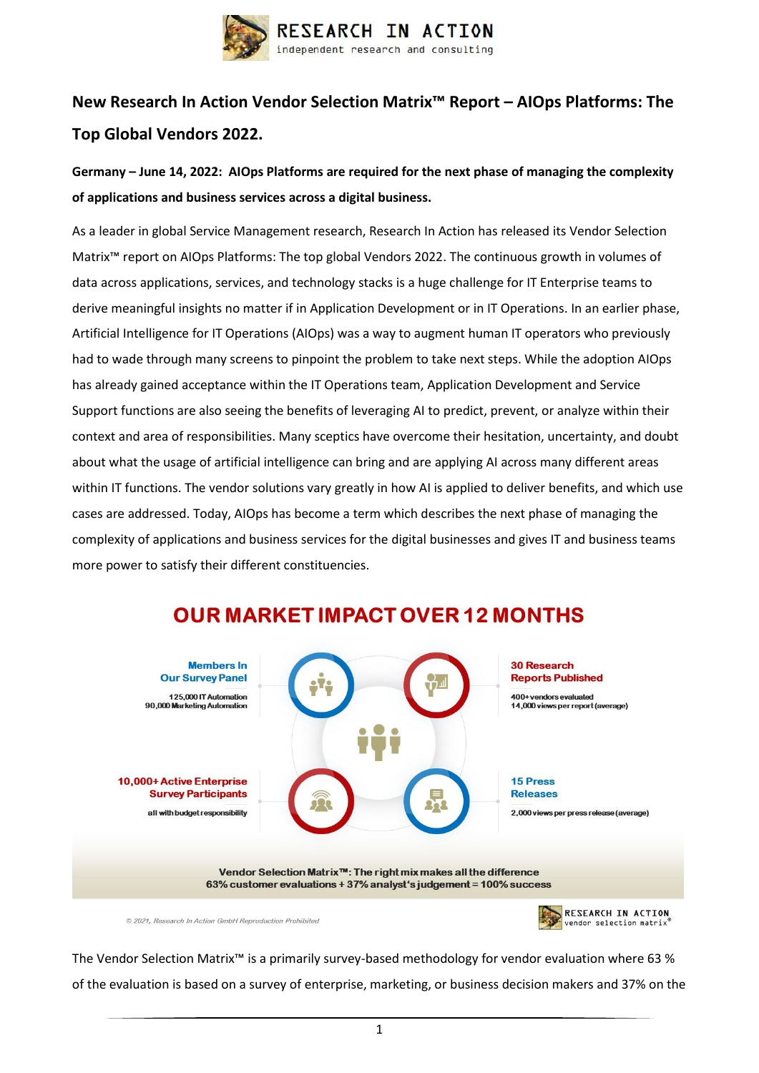

# **New Research In Action Vendor Selection Matrix™ Report – AIOps Platforms: The Top Global Vendors 2022.**

### **Germany – June 14, 2022: AIOps Platforms are required for the next phase of managing the complexity of applications and business services across a digital business.**

As a leader in global Service Management research, Research In Action has released its Vendor Selection Matrix™ report on AIOps Platforms: The top global Vendors 2022. The continuous growth in volumes of data across applications, services, and technology stacks is a huge challenge for IT Enterprise teams to derive meaningful insights no matter if in Application Development or in IT Operations. In an earlier phase, Artificial Intelligence for IT Operations (AIOps) was a way to augment human IT operators who previously had to wade through many screens to pinpoint the problem to take next steps. While the adoption AIOps has already gained acceptance within the IT Operations team, Application Development and Service Support functions are also seeing the benefits of leveraging AI to predict, prevent, or analyze within their context and area of responsibilities. Many sceptics have overcome their hesitation, uncertainty, and doubt about what the usage of artificial intelligence can bring and are applying AI across many different areas within IT functions. The vendor solutions vary greatly in how AI is applied to deliver benefits, and which use cases are addressed. Today, AIOps has become a term which describes the next phase of managing the complexity of applications and business services for the digital businesses and gives IT and business teams more power to satisfy their different constituencies.



## **OUR MARKET IMPACT OVER 12 MONTHS**

© 2021. Research In Action GmbH Reproduction Prohibited

The Vendor Selection Matrix™ is a primarily survey-based methodology for vendor evaluation where 63 % of the evaluation is based on a survey of enterprise, marketing, or business decision makers and 37% on the

vendor selection matrix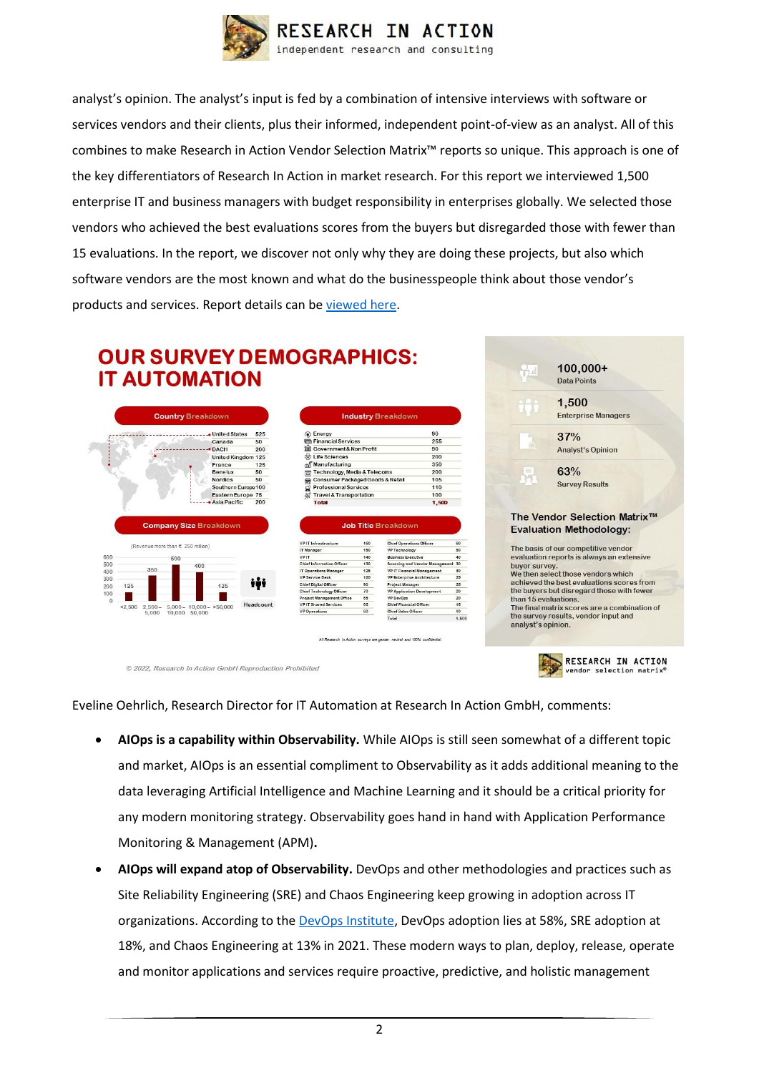

analyst's opinion. The analyst's input is fed by a combination of intensive interviews with software or services vendors and their clients, plus their informed, independent point-of-view as an analyst. All of this combines to make Research in Action Vendor Selection Matrix™ reports so unique. This approach is one of the key differentiators of Research In Action in market research. For this report we interviewed 1,500 enterprise IT and business managers with budget responsibility in enterprises globally. We selected those vendors who achieved the best evaluations scores from the buyers but disregarded those with fewer than 15 evaluations. In the report, we discover not only why they are doing these projects, but also which software vendors are the most known and what do the businesspeople think about those vendor's products and services. Report details can be [viewed here.](https://researchinaction.de/wp-content/uploads/VSM-AIOPS-2022-WWW.pdf)

### **OUR SURVEY DEMOGRAPHICS: IT AUTOMATION**



| Energy                             | 90    |
|------------------------------------|-------|
| <b>Confirmancial Services</b>      | 255   |
| Government& Non Profit             | 90    |
| to Life Sciences                   | 200   |
| <sup>ல</sup> ி Manufacturing       | 350   |
| Technology, Media & Telecoms       | 200   |
| Consumer Packaged Goods & Retail   | 105   |
| <b>Professional Services</b>       | 110   |
| <b>Travel &amp; Transportation</b> | 100   |
| Total                              | 1.500 |

| IT Infrastructure       | 25.325<br>160 | <b>Chief Operations Officer</b>   | 60   |
|-------------------------|---------------|-----------------------------------|------|
| Manager                 | 150           | VP Technology                     | 50   |
| IT                      | 140           | <b>Business Executive</b>         | 40   |
| ief Information Officer | 130           | Sourcing and Vendor Management 30 |      |
| Operations Manager      | 125           | <b>VP IT Financial Management</b> | 30   |
| Service Desk            | 120           | VP Enterprise Architecture        | 25   |
| ief Digital Officer     | 90            | Project Manager                   | 25   |
| ief Technology Officer  | 70            | <b>VP Application Development</b> | 20   |
| oject Management Office | 65            | <b>VP DevOps</b>                  | 20   |
| IT Shared Services      | 65            | Chief Financial Officer           | 15   |
| Operations              | 60            | Chief Sales Officer               | 10   |
|                         |               | $2.1 - 1$                         | 1.50 |

arch in Action surveys are gender heutral and 100% confidenti



RESEARCH IN ACTION

vendor selection matrix

© 2022, Research In Action GmbH Reproduction Prohibited

Eveline Oehrlich, Research Director for IT Automation at Research In Action GmbH, comments:

이 이 그 이 이 이 이 이 이 것 같아.

- **AIOps is a capability within Observability.** While AIOps is still seen somewhat of a different topic and market, AIOps is an essential compliment to Observability as it adds additional meaning to the data leveraging Artificial Intelligence and Machine Learning and it should be a critical priority for any modern monitoring strategy. Observability goes hand in hand with Application Performance Monitoring & Management (APM)**.**
- **AIOps will expand atop of Observability.** DevOps and other methodologies and practices such as Site Reliability Engineering (SRE) and Chaos Engineering keep growing in adoption across IT organizations. According to th[e DevOps Institute,](https://www.devopsinstitute.com/upskilling-it/) DevOps adoption lies at 58%, SRE adoption at 18%, and Chaos Engineering at 13% in 2021. These modern ways to plan, deploy, release, operate and monitor applications and services require proactive, predictive, and holistic management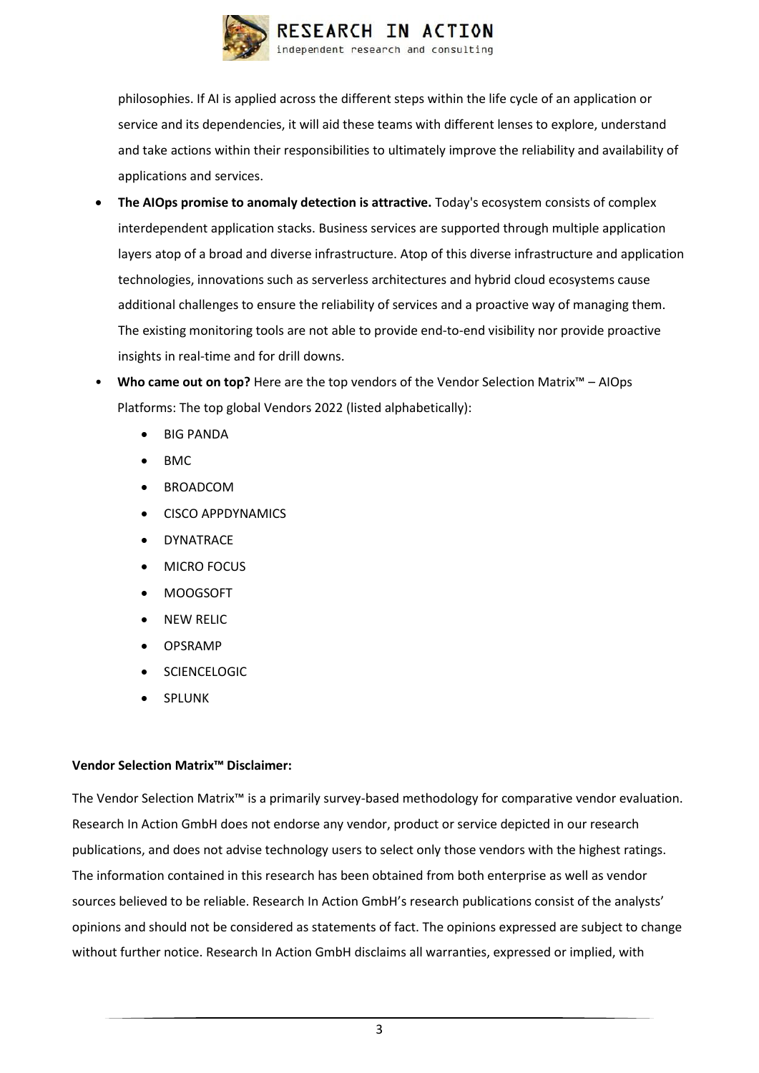

philosophies. If AI is applied across the different steps within the life cycle of an application or service and its dependencies, it will aid these teams with different lenses to explore, understand and take actions within their responsibilities to ultimately improve the reliability and availability of applications and services.

- **The AIOps promise to anomaly detection is attractive.** Today's ecosystem consists of complex interdependent application stacks. Business services are supported through multiple application layers atop of a broad and diverse infrastructure. Atop of this diverse infrastructure and application technologies, innovations such as serverless architectures and hybrid cloud ecosystems cause additional challenges to ensure the reliability of services and a proactive way of managing them. The existing monitoring tools are not able to provide end-to-end visibility nor provide proactive insights in real-time and for drill downs.
- **Who came out on top?** Here are the top vendors of the Vendor Selection Matrix™ AIOps Platforms: The top global Vendors 2022 (listed alphabetically):
	- BIG PANDA
	- BMC
	- BROADCOM
	- CISCO APPDYNAMICS
	- **DYNATRACE**
	- MICRO FOCUS
	- MOOGSOFT
	- NEW RELIC
	- OPSRAMP
	- **SCIENCELOGIC**
	- **SPLUNK**

#### **Vendor Selection Matrix™ Disclaimer:**

The Vendor Selection Matrix™ is a primarily survey-based methodology for comparative vendor evaluation. Research In Action GmbH does not endorse any vendor, product or service depicted in our research publications, and does not advise technology users to select only those vendors with the highest ratings. The information contained in this research has been obtained from both enterprise as well as vendor sources believed to be reliable. Research In Action GmbH's research publications consist of the analysts' opinions and should not be considered as statements of fact. The opinions expressed are subject to change without further notice. Research In Action GmbH disclaims all warranties, expressed or implied, with